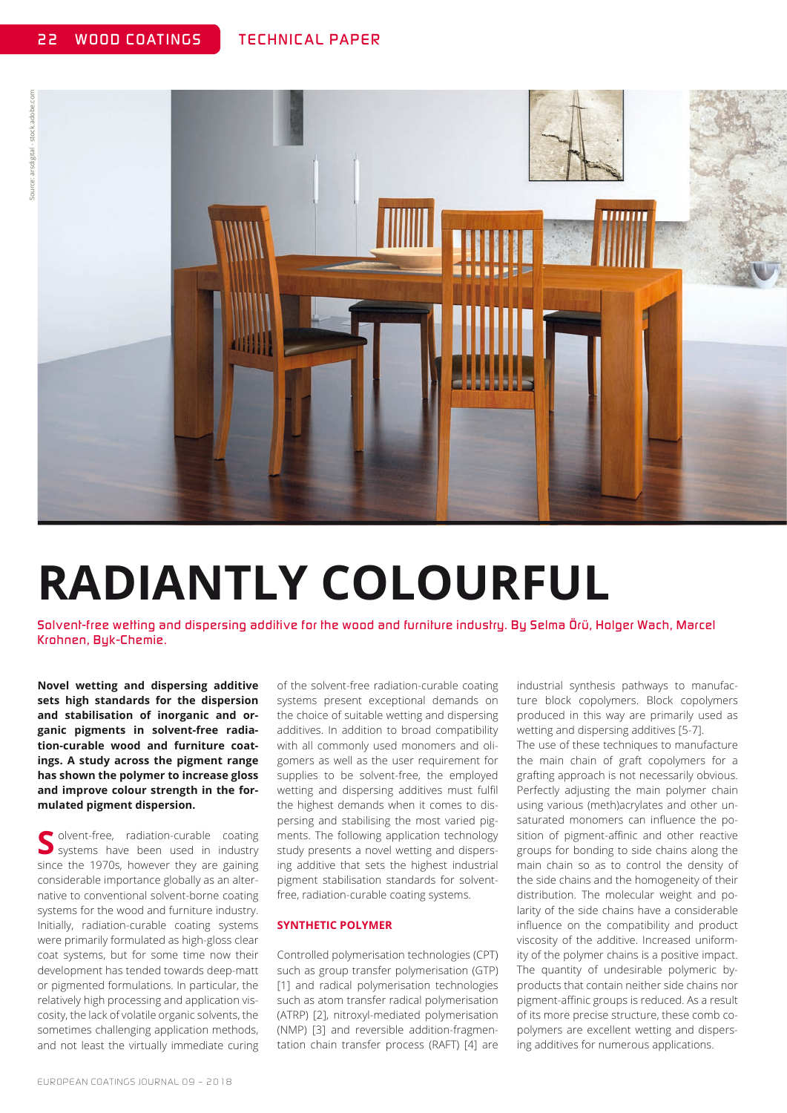

# **RADIANTLY COLOURFUL**

*Solvent-free wetting and dispersing additive for the wood and furniture industry. By Selma Örü, Holger Wach, Marcel Krohnen, Byk-Chemie.*

**Novel wetting and dispersing additive sets high standards for the dispersion and stabilisation of inorganic and organic pigments in solvent-free radiation-curable wood and furniture coatings. A study across the pigment range has shown the polymer to increase gloss and improve colour strength in the formulated pigment dispersion.** 

**S** olvent-free, radiation-curable coating systems have been used in industry since the 1970s, however they are gaining considerable importance globally as an alternative to conventional solvent-borne coating systems for the wood and furniture industry. Initially, radiation-curable coating systems were primarily formulated as high-gloss clear coat systems, but for some time now their development has tended towards deep-matt or pigmented formulations. In particular, the relatively high processing and application viscosity, the lack of volatile organic solvents, the sometimes challenging application methods, and not least the virtually immediate curing

of the solvent-free radiation-curable coating systems present exceptional demands on the choice of suitable wetting and dispersing additives. In addition to broad compatibility with all commonly used monomers and oligomers as well as the user requirement for supplies to be solvent-free, the employed wetting and dispersing additives must fulfil the highest demands when it comes to dispersing and stabilising the most varied pigments. The following application technology study presents a novel wetting and dispersing additive that sets the highest industrial pigment stabilisation standards for solventfree, radiation-curable coating systems.

#### **SYNTHETIC POLYMER**

Controlled polymerisation technologies (CPT) such as group transfer polymerisation (GTP) [1] and radical polymerisation technologies such as atom transfer radical polymerisation (ATRP) [2], nitroxyl-mediated polymerisation (NMP) [3] and reversible addition-fragmentation chain transfer process (RAFT) [4] are industrial synthesis pathways to manufacture block copolymers. Block copolymers produced in this way are primarily used as wetting and dispersing additives [5-7].

The use of these techniques to manufacture the main chain of graft copolymers for a grafting approach is not necessarily obvious. Perfectly adjusting the main polymer chain using various (meth)acrylates and other unsaturated monomers can influence the position of pigment-affinic and other reactive groups for bonding to side chains along the main chain so as to control the density of the side chains and the homogeneity of their distribution. The molecular weight and polarity of the side chains have a considerable influence on the compatibility and product viscosity of the additive. Increased uniformity of the polymer chains is a positive impact. The quantity of undesirable polymeric byproducts that contain neither side chains nor pigment-affinic groups is reduced. As a result of its more precise structure, these comb copolymers are excellent wetting and dispersing additives for numerous applications.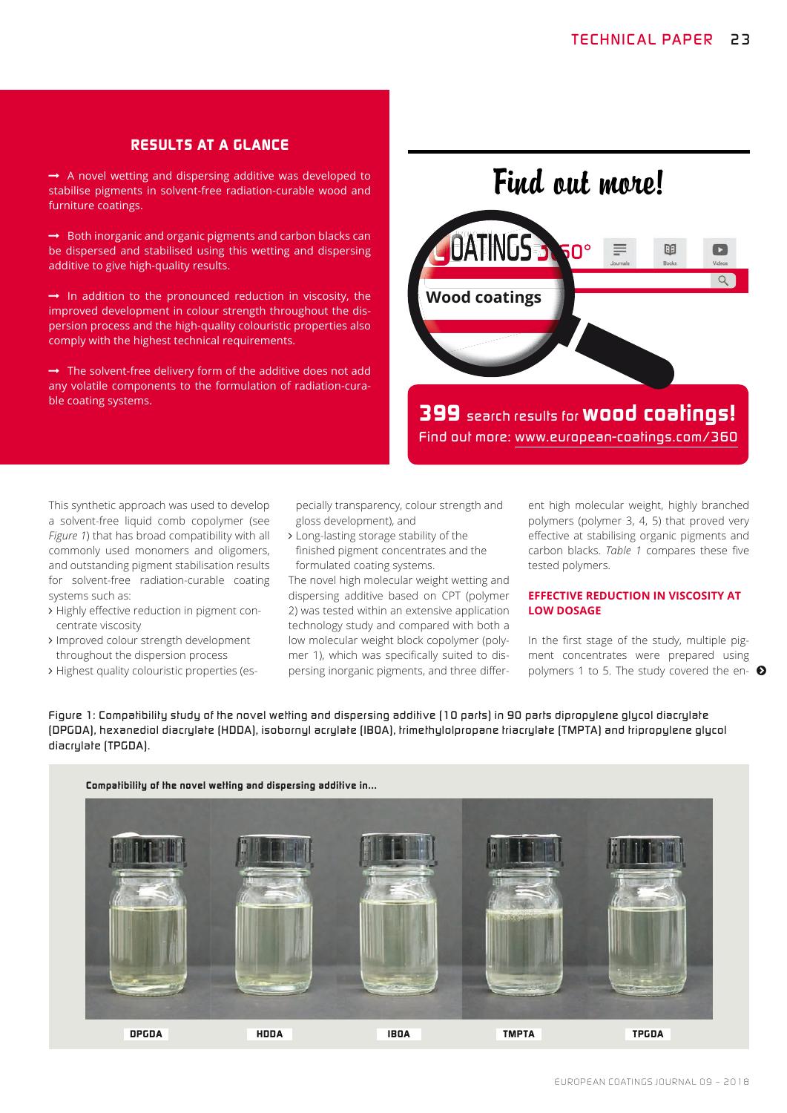### *RESULTS AT A GLANCE*

 $\rightarrow$  A novel wetting and dispersing additive was developed to stabilise pigments in solvent-free radiation-curable wood and furniture coatings.

 $\rightarrow$  Both inorganic and organic pigments and carbon blacks can be dispersed and stabilised using this wetting and dispersing additive to give high-quality results.

 $\rightarrow$  In addition to the pronounced reduction in viscosity, the improved development in colour strength throughout the dispersion process and the high-quality colouristic properties also comply with the highest technical requirements.

 $\rightarrow$  The solvent-free delivery form of the additive does not add any volatile components to the formulation of radiation-curable coating systems.

Find out more!



*399 search results for wood coatings! Find out more: www.european-coatings.com/360*

This synthetic approach was used to develop a solvent-free liquid comb copolymer (see *Figure 1*) that has broad compatibility with all commonly used monomers and oligomers, and outstanding pigment stabilisation results for solvent-free radiation-curable coating systems such as:

- > Highly effective reduction in pigment concentrate viscosity
- > Improved colour strength development throughout the dispersion process
- 

pecially transparency, colour strength and gloss development), and

> Long-lasting storage stability of the finished pigment concentrates and the formulated coating systems.

The novel high molecular weight wetting and dispersing additive based on CPT (polymer 2) was tested within an extensive application technology study and compared with both a low molecular weight block copolymer (polymer 1), which was specifically suited to dispersing inorganic pigments, and three different high molecular weight, highly branched polymers (polymer 3, 4, 5) that proved very effective at stabilising organic pigments and carbon blacks. *Table 1* compares these five tested polymers.

#### **EFFECTIVE REDUCTION IN VISCOSITY AT LOW DOSAGE**

 $\triangleright$  Highest quality colouristic properties (es- epersing inorganic pigments, and three differ- polymers 1 to 5. The study covered the en-  $\bullet$ In the first stage of the study, multiple pigment concentrates were prepared using

*Figure 1: Compatibility study of the novel wetting and dispersing additive (10 parts) in 90 parts dipropylene glycol diacrylate (DPGDA), hexanediol diacrylate (HDDA), isobornyl acrylate (IBOA), trimethylolpropane triacrylate (TMPTA) and tripropylene glycol diacrylate (TPGDA).*

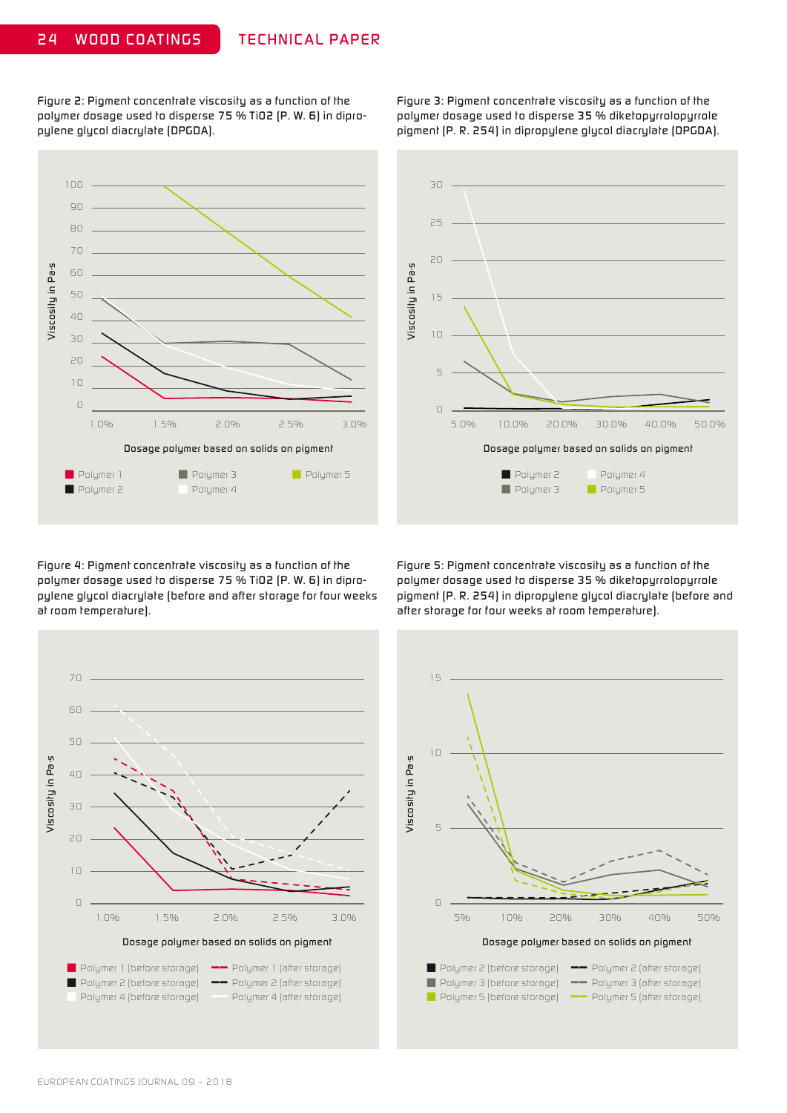*Figure 2: Pigment concentrate viscosity as a function of the polymer dosage used to disperse 75 % TiO2 (P. W. 6) in dipropylene glycol diacrylate (DPGDA).*

*Figure 3: Pigment concentrate viscosity as a function of the polymer dosage used to disperse 35 % diketopyrrolopyrrole pigment (P. R. 254) in dipropylene glycol diacrylate (DPGDA).*





*Figure 4: Pigment concentrate viscosity as a function of the polymer dosage used to disperse 75 % TiO2 (P. W. 6) in dipropylene glycol diacrylate (before and after storage for four weeks at room temperature).*

*Figure 5: Pigment concentrate viscosity as a function of the polymer dosage used to disperse 35 % diketopyrrolopyrrole pigment (P. R. 254) in dipropylene glycol diacrylate (before and after storage for four weeks at room temperature).*



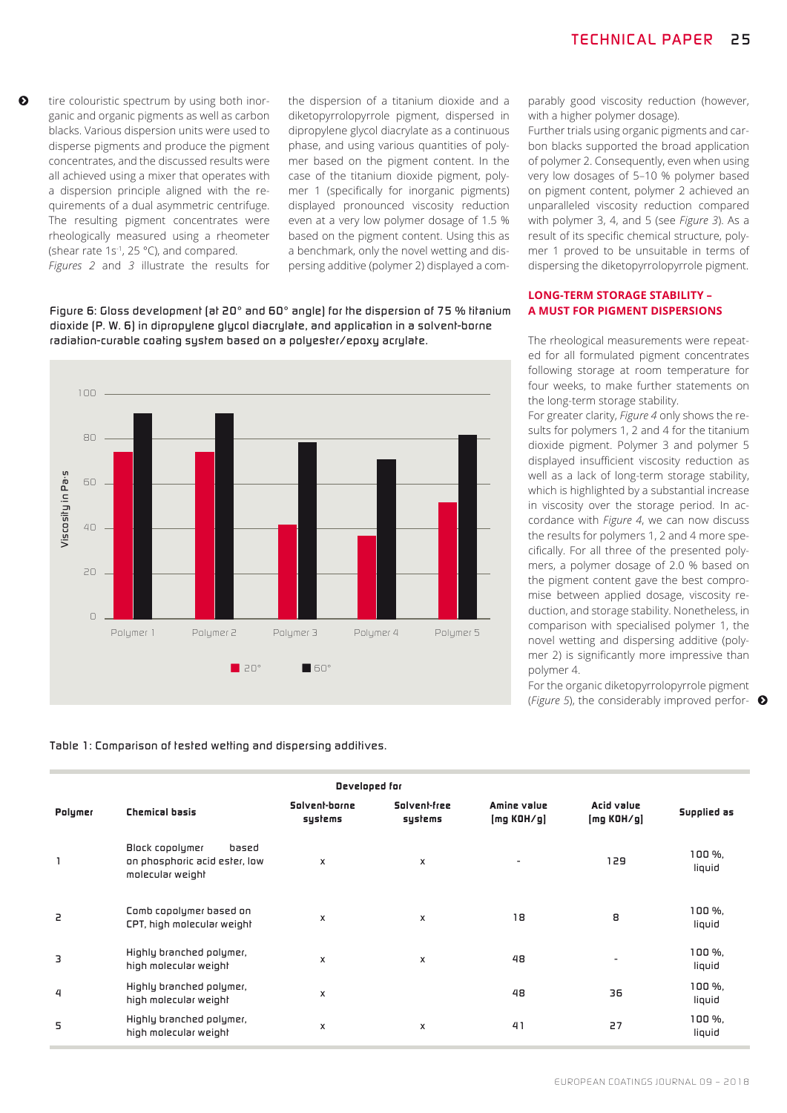tire colouristic spectrum by using both inorganic and organic pigments as well as carbon blacks. Various dispersion units were used to disperse pigments and produce the pigment concentrates, and the discussed results were all achieved using a mixer that operates with a dispersion principle aligned with the requirements of a dual asymmetric centrifuge. The resulting pigment concentrates were rheologically measured using a rheometer (shear rate 1s-1, 25 °C), and compared. *Figures 2* and *3* illustrate the results for the dispersion of a titanium dioxide and a diketopyrrolopyrrole pigment, dispersed in dipropylene glycol diacrylate as a continuous phase, and using various quantities of polymer based on the pigment content. In the case of the titanium dioxide pigment, polymer 1 (specifically for inorganic pigments) displayed pronounced viscosity reduction even at a very low polymer dosage of 1.5 % based on the pigment content. Using this as a benchmark, only the novel wetting and dispersing additive (polymer 2) displayed a com-

*Figure 6: Gloss development (at 20° and 60° angle) for the dispersion of 75 % titanium dioxide (P. W. 6) in dipropylene glycol diacrylate, and application in a solvent-borne radiation-curable coating system based on a polyester/epoxy acrylate.*



parably good viscosity reduction (however, with a higher polymer dosage).

Further trials using organic pigments and carbon blacks supported the broad application of polymer 2. Consequently, even when using very low dosages of 5–10 % polymer based on pigment content, polymer 2 achieved an unparalleled viscosity reduction compared with polymer 3, 4, and 5 (see *Figure 3*). As a result of its specific chemical structure, polymer 1 proved to be unsuitable in terms of dispersing the diketopyrrolopyrrole pigment.

#### **LONG-TERM STORAGE STABILITY – A MUST FOR PIGMENT DISPERSIONS**

The rheological measurements were repeated for all formulated pigment concentrates following storage at room temperature for four weeks, to make further statements on the long-term storage stability.

For greater clarity, *Figure 4* only shows the results for polymers 1, 2 and 4 for the titanium dioxide pigment. Polymer 3 and polymer 5 displayed insufficient viscosity reduction as well as a lack of long-term storage stability, which is highlighted by a substantial increase in viscosity over the storage period. In accordance with *Figure 4*, we can now discuss the results for polymers 1, 2 and 4 more specifically. For all three of the presented polymers, a polymer dosage of 2.0 % based on the pigment content gave the best compromise between applied dosage, viscosity reduction, and storage stability. Nonetheless, in comparison with specialised polymer 1, the novel wetting and dispersing additive (polymer 2) is significantly more impressive than polymer 4.

For the organic diketopyrrolopyrrole pigment (*Figure 5*), the considerably improved perfor-

*Table 1: Comparison of tested wetting and dispersing additives.*

| Developed for |                                                                               |                          |                         |                           |                          |                    |
|---------------|-------------------------------------------------------------------------------|--------------------------|-------------------------|---------------------------|--------------------------|--------------------|
| Polymer       | <b>Chemical basis</b>                                                         | Solvent-borne<br>systems | Solvent-free<br>systems | Amine value<br>[mg KOH/g] | Acid value<br>[mg KOH/g] | Supplied as        |
| $\mathbf{1}$  | Block copolymer<br>based<br>on phosphoric acid ester, low<br>molecular weight | $\mathsf{x}$             | x                       | $\overline{\phantom{a}}$  | 129                      | $100 \%$<br>liquid |
| 2             | Comb copolymer based on<br>CPT, high molecular weight                         | X                        | x                       | 18                        | 8                        | $100 \%$<br>liquid |
| 3             | Highly branched polymer,<br>high molecular weight                             | X                        | x                       | 48                        | $\overline{\phantom{0}}$ | 100 %,<br>liquid   |
| 4             | Highly branched polymer,<br>high molecular weight                             | X                        |                         | 48                        | 36                       | 100 %,<br>liquid   |
| 5             | Highly branched polymer,<br>high molecular weight                             | X                        | X                       | 41                        | 27                       | 100%.<br>liquid    |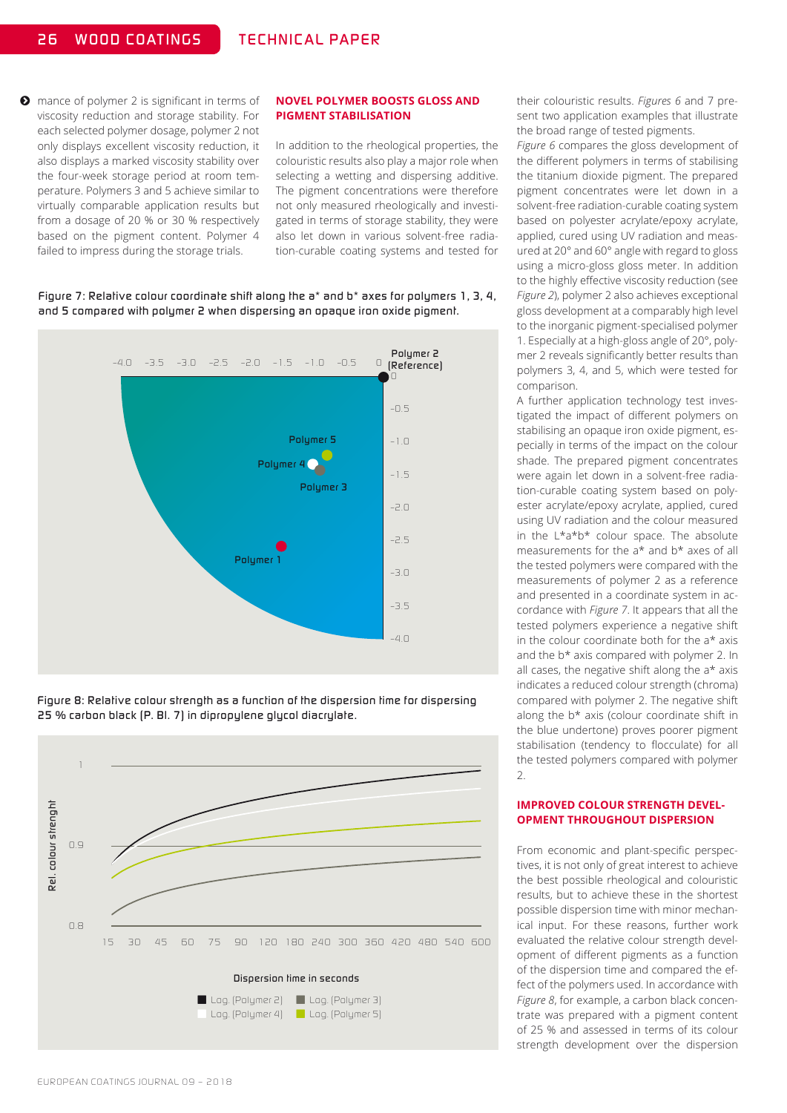**O** mance of polymer 2 is significant in terms of viscosity reduction and storage stability. For each selected polymer dosage, polymer 2 not only displays excellent viscosity reduction, it also displays a marked viscosity stability over the four-week storage period at room temperature. Polymers 3 and 5 achieve similar to virtually comparable application results but from a dosage of 20 % or 30 % respectively based on the pigment content. Polymer 4 failed to impress during the storage trials.

#### **NOVEL POLYMER BOOSTS GLOSS AND PIGMENT STABILISATION**

In addition to the rheological properties, the colouristic results also play a major role when selecting a wetting and dispersing additive. The pigment concentrations were therefore not only measured rheologically and investigated in terms of storage stability, they were also let down in various solvent-free radiation-curable coating systems and tested for

*Figure 7: Relative colour coordinate shift along the a\* and b\* axes for polymers 1, 3, 4, and 5 compared with polymer 2 when dispersing an opaque iron oxide pigment.*



*Figure 8: Relative colour strength as a function of the dispersion time for dispersing 25 % carbon black (P. Bl. 7) in dipropylene glycol diacrylate.*



their colouristic results. *Figures 6* and 7 present two application examples that illustrate the broad range of tested pigments.

*Figure 6* compares the gloss development of the different polymers in terms of stabilising the titanium dioxide pigment. The prepared pigment concentrates were let down in a solvent-free radiation-curable coating system based on polyester acrylate/epoxy acrylate, applied, cured using UV radiation and measured at 20° and 60° angle with regard to gloss using a micro-gloss gloss meter. In addition to the highly effective viscosity reduction (see *Figure 2*), polymer 2 also achieves exceptional gloss development at a comparably high level to the inorganic pigment-specialised polymer 1. Especially at a high-gloss angle of 20°, polymer 2 reveals significantly better results than polymers 3, 4, and 5, which were tested for comparison.

A further application technology test investigated the impact of different polymers on stabilising an opaque iron oxide pigment, especially in terms of the impact on the colour shade. The prepared pigment concentrates were again let down in a solvent-free radiation-curable coating system based on polyester acrylate/epoxy acrylate, applied, cured using UV radiation and the colour measured in the  $L^*a^*b^*$  colour space. The absolute measurements for the a\* and b\* axes of all the tested polymers were compared with the measurements of polymer 2 as a reference and presented in a coordinate system in accordance with *Figure 7*. It appears that all the tested polymers experience a negative shift in the colour coordinate both for the a\* axis and the b\* axis compared with polymer 2. In all cases, the negative shift along the  $a*$  axis indicates a reduced colour strength (chroma) compared with polymer 2. The negative shift along the b\* axis (colour coordinate shift in the blue undertone) proves poorer pigment stabilisation (tendency to flocculate) for all the tested polymers compared with polymer 2.

#### **IMPROVED COLOUR STRENGTH DEVEL-OPMENT THROUGHOUT DISPERSION**

From economic and plant-specific perspectives, it is not only of great interest to achieve the best possible rheological and colouristic results, but to achieve these in the shortest possible dispersion time with minor mechanical input. For these reasons, further work evaluated the relative colour strength development of different pigments as a function of the dispersion time and compared the effect of the polymers used. In accordance with *Figure 8*, for example, a carbon black concentrate was prepared with a pigment content of 25 % and assessed in terms of its colour strength development over the dispersion